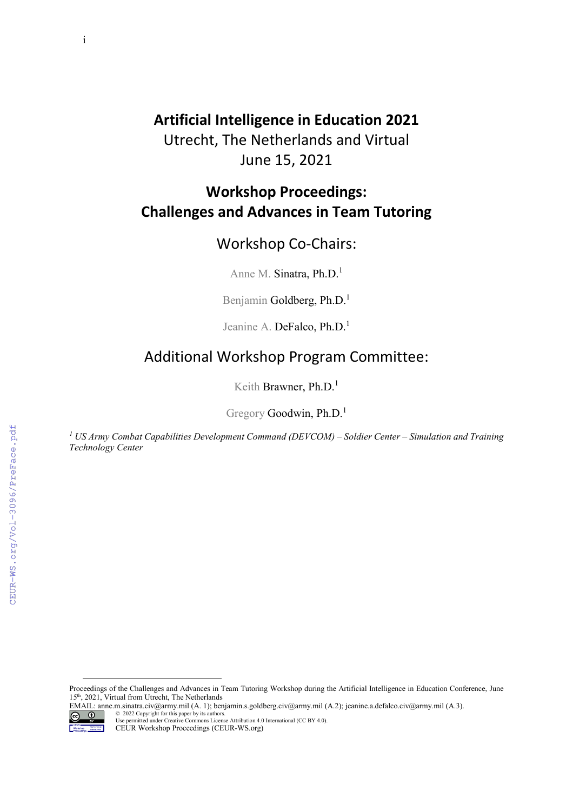i

### **Artificial Intelligence in Education 2021**

Utrecht, The Netherlands and Virtual June 15, 2021

## **Workshop Proceedings: Challenges and Advances in Team Tutoring**

#### Workshop Co-Chairs:

Anne M. Sinatra, Ph.D.<sup>1</sup>

Benjamin Goldberg, Ph.D.<sup>1</sup>

Jeanine A. DeFalco, Ph.D.<sup>1</sup>

#### Additional Workshop Program Committee:

Keith Brawner, Ph.D.<sup>1</sup>

Gregory Goodwin, Ph.D.<sup>1</sup>

*<sup>1</sup> US Army Combat Capabilities Development Command (DEVCOM) – Soldier Center – Simulation and Training Technology Center*

<span id="page-0-0"></span>EMAIL: anne.m.sinatra.civ@army.mil (A. 1); benjamin.s.goldberg.civ@army.mil (A.2); jeanine.a.defalco.civ@army.mil (A.3).



<sup>©</sup> 2022 Copyright for this paper by its authors. Use permitted under Creative Commons License Attribution 4.0 International (CC BY 4.0).

Proceedings of the Challenges and Advances in Team Tutoring Workshop during the Artificial Intelligence in Education Conference, June 15th, 2021, Virtual from Utrecht, The Netherlands

CEUR Workshop Proceedings (CEUR-WS.org)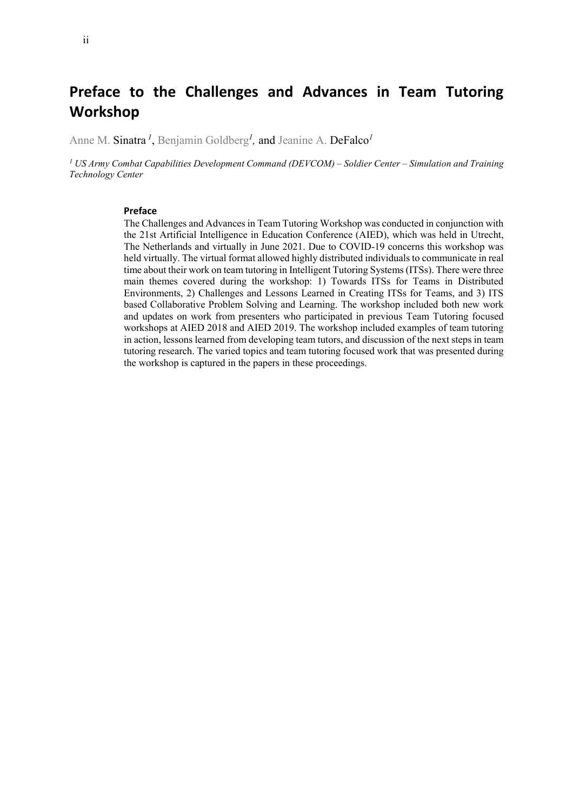ii

## **Preface to the Challenges and Advances in Team Tutoring Workshop**

Anne M. Sinatra *<sup>1</sup>* , Benjamin Goldberg*<sup>1</sup> ,* and Jeanine A. DeFalco*<sup>1</sup>*

*<sup>1</sup> US Army Combat Capabilities Development Command (DEVCOM) – Soldier Center – Simulation and Training Technology Center*

#### **Preface**

The Challenges and Advances in Team Tutoring Workshop was conducted in conjunction with the 21st Artificial Intelligence in Education Conference (AIED), which was held in Utrecht, The Netherlands and virtually in June 2021. Due to COVID-19 concerns this workshop was held virtually. The virtual format allowed highly distributed individuals to communicate in real time about their work on team tutoring in Intelligent Tutoring Systems (ITSs). There were three main themes covered during the workshop: 1) Towards ITSs for Teams in Distributed Environments, 2) Challenges and Lessons Learned in Creating ITSs for Teams, and 3) ITS based Collaborative Problem Solving and Learning. The workshop included both new work and updates on work from presenters who participated in previous Team Tutoring focused workshops at AIED 2018 and AIED 2019. The workshop included examples of team tutoring in action, lessons learned from developing team tutors, and discussion of the next steps in team tutoring research. The varied topics and team tutoring focused work that was presented during the workshop is captured in the papers in these proceedings.